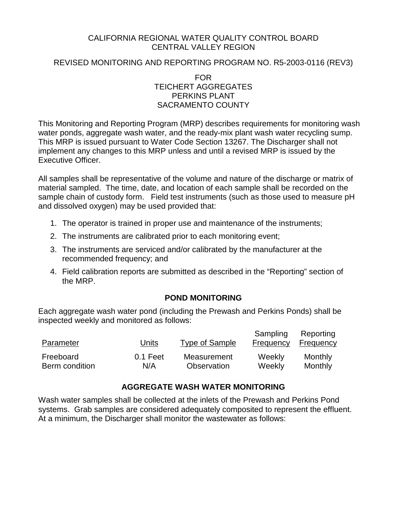### CALIFORNIA REGIONAL WATER QUALITY CONTROL BOARD CENTRAL VALLEY REGION

## REVISED MONITORING AND REPORTING PROGRAM NO. R5-2003-0116 (REV3)

FOR TEICHERT AGGREGATES PERKINS PLANT SACRAMENTO COUNTY

This Monitoring and Reporting Program (MRP) describes requirements for monitoring wash water ponds, aggregate wash water, and the ready-mix plant wash water recycling sump. This MRP is issued pursuant to Water Code Section 13267. The Discharger shall not implement any changes to this MRP unless and until a revised MRP is issued by the Executive Officer.

All samples shall be representative of the volume and nature of the discharge or matrix of material sampled. The time, date, and location of each sample shall be recorded on the sample chain of custody form. Field test instruments (such as those used to measure pH and dissolved oxygen) may be used provided that:

- 1. The operator is trained in proper use and maintenance of the instruments;
- 2. The instruments are calibrated prior to each monitoring event;
- 3. The instruments are serviced and/or calibrated by the manufacturer at the recommended frequency; and
- 4. Field calibration reports are submitted as described in the "Reporting" section of the MRP.

## **POND MONITORING**

Each aggregate wash water pond (including the Prewash and Perkins Ponds) shall be inspected weekly and monitored as follows:

| Parameter      | Units    | Type of Sample | Sampling<br>Frequency | Reporting<br>Frequency |
|----------------|----------|----------------|-----------------------|------------------------|
| Freeboard      | 0.1 Feet | Measurement    | Weekly                | Monthly                |
| Berm condition | N/A      | Observation    | Weekly                | Monthly                |

## **AGGREGATE WASH WATER MONITORING**

Wash water samples shall be collected at the inlets of the Prewash and Perkins Pond systems. Grab samples are considered adequately composited to represent the effluent. At a minimum, the Discharger shall monitor the wastewater as follows: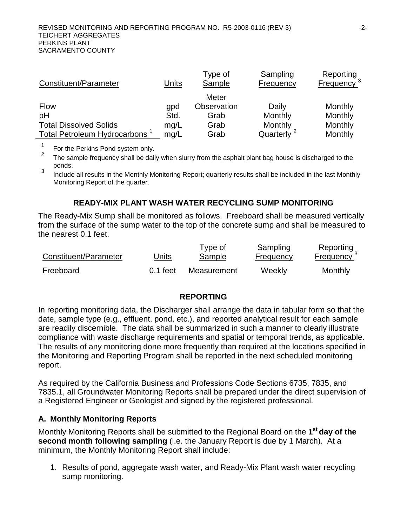| Constituent/Parameter                     | Units | Type of<br>Sample | Sampling<br>Frequency  | Reporting<br>Frequency <sup>3</sup> |
|-------------------------------------------|-------|-------------------|------------------------|-------------------------------------|
|                                           |       | Meter             |                        |                                     |
| <b>Flow</b>                               | gpd   | Observation       | Daily                  | Monthly                             |
| pH                                        | Std.  | Grab              | Monthly                | Monthly                             |
| <b>Total Dissolved Solids</b>             | mg/L  | Grab              | Monthly                | Monthly                             |
| Total Petroleum Hydrocarbons <sup>1</sup> | mg/L  | Grab              | Quarterly <sup>2</sup> | Monthly                             |

<sup>1</sup> For the Perkins Pond system only.<br><sup>2</sup> The semple fractional spall be deil

The sample frequency shall be daily when slurry from the asphalt plant bag house is discharged to the ponds.

 $\frac{3}{10}$  Include all results in the Monthly Monitoring Report; quarterly results shall be included in the last Monthly Monitoring Report of the quarter.

# **READY-MIX PLANT WASH WATER RECYCLING SUMP MONITORING**

The Ready-Mix Sump shall be monitored as follows. Freeboard shall be measured vertically from the surface of the sump water to the top of the concrete sump and shall be measured to the nearest 0.1 feet.

| Constituent/Parameter | Units      | Type of<br><b>Sample</b> | Sampling<br><b>Frequency</b> | Reporting<br>Frequency $3$ |
|-----------------------|------------|--------------------------|------------------------------|----------------------------|
| Freeboard             | $0.1$ feet | Measurement              | Weekly                       | Monthly                    |

## **REPORTING**

In reporting monitoring data, the Discharger shall arrange the data in tabular form so that the date, sample type (e.g., effluent, pond, etc.), and reported analytical result for each sample are readily discernible. The data shall be summarized in such a manner to clearly illustrate compliance with waste discharge requirements and spatial or temporal trends, as applicable. The results of any monitoring done more frequently than required at the locations specified in the Monitoring and Reporting Program shall be reported in the next scheduled monitoring report.

As required by the California Business and Professions Code Sections 6735, 7835, and 7835.1, all Groundwater Monitoring Reports shall be prepared under the direct supervision of a Registered Engineer or Geologist and signed by the registered professional.

## **A. Monthly Monitoring Reports**

Monthly Monitoring Reports shall be submitted to the Regional Board on the **1st day of the second month following sampling** (i.e. the January Report is due by 1 March). At a minimum, the Monthly Monitoring Report shall include:

1. Results of pond, aggregate wash water, and Ready-Mix Plant wash water recycling sump monitoring.